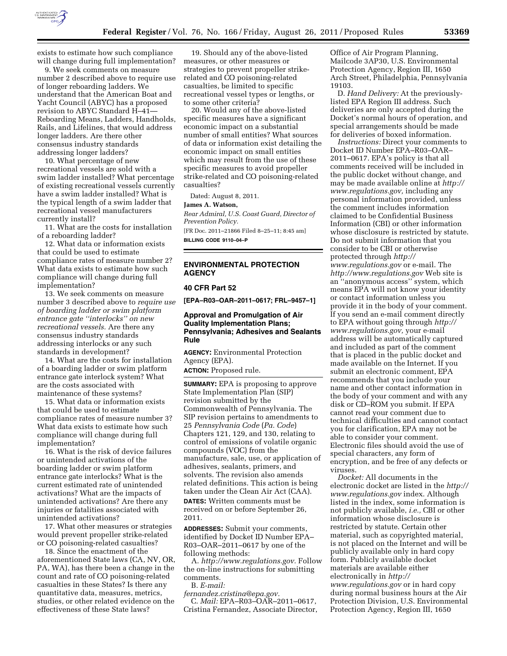

exists to estimate how such compliance will change during full implementation?

9. We seek comments on measure number 2 described above to require use of longer reboarding ladders. We understand that the American Boat and Yacht Council (ABYC) has a proposed revision to ABYC Standard H–41— Reboarding Means, Ladders, Handholds, Rails, and Lifelines, that would address longer ladders. Are there other consensus industry standards addressing longer ladders?

10. What percentage of new recreational vessels are sold with a swim ladder installed? What percentage of existing recreational vessels currently have a swim ladder installed? What is the typical length of a swim ladder that recreational vessel manufacturers currently install?

11. What are the costs for installation of a reboarding ladder?

12. What data or information exists that could be used to estimate compliance rates of measure number 2? What data exists to estimate how such compliance will change during full implementation?

13. We seek comments on measure number 3 described above to *require use of boarding ladder or swim platform entrance gate ''interlocks'' on new recreational vessels.* Are there any consensus industry standards addressing interlocks or any such standards in development?

14. What are the costs for installation of a boarding ladder or swim platform entrance gate interlock system? What are the costs associated with maintenance of these systems?

15. What data or information exists that could be used to estimate compliance rates of measure number 3? What data exists to estimate how such compliance will change during full implementation?

16. What is the risk of device failures or unintended activations of the boarding ladder or swim platform entrance gate interlocks? What is the current estimated rate of unintended activations? What are the impacts of unintended activations? Are there any injuries or fatalities associated with unintended activations?

17. What other measures or strategies would prevent propeller strike-related or CO poisoning-related casualties?

18. Since the enactment of the aforementioned State laws (CA, NV, OR, PA, WA), has there been a change in the count and rate of CO poisoning-related casualties in these States? Is there any quantitative data, measures, metrics, studies, or other related evidence on the effectiveness of these State laws?

19. Should any of the above-listed measures, or other measures or strategies to prevent propeller strikerelated and CO poisoning-related casualties, be limited to specific recreational vessel types or lengths, or to some other criteria?

20. Would any of the above-listed specific measures have a significant economic impact on a substantial number of small entities? What sources of data or information exist detailing the economic impact on small entities which may result from the use of these specific measures to avoid propeller strike-related and CO poisoning-related casualties?

Dated: August 8, 2011.

#### **James A. Watson,**

*Rear Admiral, U.S. Coast Guard, Director of Prevention Policy.* 

[FR Doc. 2011–21866 Filed 8–25–11; 8:45 am] **BILLING CODE 9110–04–P** 

## **ENVIRONMENTAL PROTECTION AGENCY**

#### **40 CFR Part 52**

**[EPA–R03–OAR–2011–0617; FRL–9457–1]** 

# **Approval and Promulgation of Air Quality Implementation Plans; Pennsylvania; Adhesives and Sealants Rule**

**AGENCY:** Environmental Protection Agency (EPA).

**ACTION:** Proposed rule.

**SUMMARY:** EPA is proposing to approve State Implementation Plan (SIP) revision submitted by the Commonwealth of Pennsylvania. The SIP revision pertains to amendments to 25 *Pennsylvania Code* (*Pa. Code*) Chapters 121, 129, and 130, relating to control of emissions of volatile organic compounds (VOC) from the manufacture, sale, use, or application of adhesives, sealants, primers, and solvents. The revision also amends related definitions. This action is being taken under the Clean Air Act (CAA). **DATES:** Written comments must be received on or before September 26, 2011.

**ADDRESSES:** Submit your comments, identified by Docket ID Number EPA– R03–OAR–2011–0617 by one of the following methods:

A. *[http://www.regulations.gov.](http://www.regulations.gov)* Follow the on-line instructions for submitting comments. B. *E-mail:* 

*[fernandez.cristina@epa.gov.](mailto:fernandez.cristina@epa.gov)*  C. *Mail:* EPA–R03–OAR–2011–0617, Cristina Fernandez, Associate Director, Office of Air Program Planning, Mailcode 3AP30, U.S. Environmental Protection Agency, Region III, 1650 Arch Street, Philadelphia, Pennsylvania 19103.

D. *Hand Delivery:* At the previouslylisted EPA Region III address. Such deliveries are only accepted during the Docket's normal hours of operation, and special arrangements should be made for deliveries of boxed information.

*Instructions:* Direct your comments to Docket ID Number EPA–R03–OAR– 2011–0617. EPA's policy is that all comments received will be included in the public docket without change, and may be made available online at *[http://](http://www.regulations.gov) [www.regulations.gov,](http://www.regulations.gov)* including any personal information provided, unless the comment includes information claimed to be Confidential Business Information (CBI) or other information whose disclosure is restricted by statute. Do not submit information that you consider to be CBI or otherwise protected through *[http://](http://www.regulations.gov) [www.regulations.gov](http://www.regulations.gov)* or e-mail. The *<http://www.regulations.gov>* Web site is an ''anonymous access'' system, which means EPA will not know your identity or contact information unless you provide it in the body of your comment. If you send an e-mail comment directly to EPA without going through *[http://](http://www.regulations.gov) [www.regulations.gov,](http://www.regulations.gov)* your e-mail address will be automatically captured and included as part of the comment that is placed in the public docket and made available on the Internet. If you submit an electronic comment, EPA recommends that you include your name and other contact information in the body of your comment and with any disk or CD–ROM you submit. If EPA cannot read your comment due to technical difficulties and cannot contact you for clarification, EPA may not be able to consider your comment. Electronic files should avoid the use of special characters, any form of encryption, and be free of any defects or viruses.

*Docket:* All documents in the electronic docket are listed in the *[http://](http://www.regulations.gov) [www.regulations.gov](http://www.regulations.gov)* index. Although listed in the index, some information is not publicly available, *i.e.,* CBI or other information whose disclosure is restricted by statute. Certain other material, such as copyrighted material, is not placed on the Internet and will be publicly available only in hard copy form. Publicly available docket materials are available either electronically in *[http://](http://www.regulations.gov) [www.regulations.gov](http://www.regulations.gov)* or in hard copy during normal business hours at the Air Protection Division, U.S. Environmental Protection Agency, Region III, 1650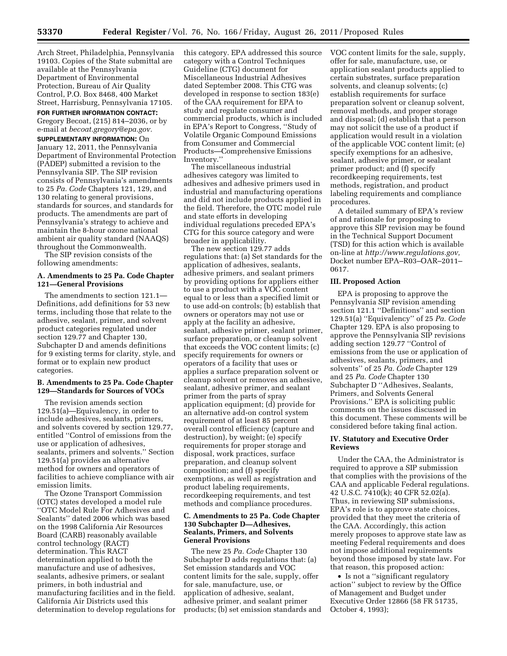Arch Street, Philadelphia, Pennsylvania 19103. Copies of the State submittal are available at the Pennsylvania Department of Environmental Protection, Bureau of Air Quality Control, P.O. Box 8468, 400 Market Street, Harrisburg, Pennsylvania 17105.

**FOR FURTHER INFORMATION CONTACT:**  Gregory Becoat, (215) 814–2036, or by e-mail at *[becoat.gregory@epa.gov.](mailto:becoat.gregory@epa.gov)* 

**SUPPLEMENTARY INFORMATION:** On January 12, 2011, the Pennsylvania Department of Environmental Protection (PADEP) submitted a revision to the Pennsylvania SIP. The SIP revision consists of Pennsylvania's amendments to 25 *Pa. Code* Chapters 121, 129, and 130 relating to general provisions, standards for sources, and standards for products. The amendments are part of Pennsylvania's strategy to achieve and maintain the 8-hour ozone national ambient air quality standard (NAAQS) throughout the Commonwealth.

The SIP revision consists of the following amendments:

### **A. Amendments to 25 Pa. Code Chapter 121—General Provisions**

The amendments to section 121.1— Definitions, add definitions for 53 new terms, including those that relate to the adhesive, sealant, primer, and solvent product categories regulated under section 129.77 and Chapter 130, Subchapter D and amends definitions for 9 existing terms for clarity, style, and format or to explain new product categories.

## **B. Amendments to 25 Pa. Code Chapter 129—Standards for Sources of VOCs**

The revision amends section 129.51(a)—Equivalency, in order to include adhesives, sealants, primers, and solvents covered by section 129.77, entitled ''Control of emissions from the use or application of adhesives, sealants, primers and solvents.'' Section 129.51(a) provides an alternative method for owners and operators of facilities to achieve compliance with air emission limits.

The Ozone Transport Commission (OTC) states developed a model rule ''OTC Model Rule For Adhesives and Sealants'' dated 2006 which was based on the 1998 California Air Resources Board (CARB) reasonably available control technology (RACT) determination. This RACT determination applied to both the manufacture and use of adhesives, sealants, adhesive primers, or sealant primers, in both industrial and manufacturing facilities and in the field. California Air Districts used this determination to develop regulations for this category. EPA addressed this source category with a Control Techniques Guideline (CTG) document for Miscellaneous Industrial Adhesives dated September 2008. This CTG was developed in response to section 183(e) of the CAA requirement for EPA to study and regulate consumer and commercial products, which is included in EPA's Report to Congress, ''Study of Volatile Organic Compound Emissions from Consumer and Commercial Products—Comprehensive Emissions Inventory.''

The miscellaneous industrial adhesives category was limited to adhesives and adhesive primers used in industrial and manufacturing operations and did not include products applied in the field. Therefore, the OTC model rule and state efforts in developing individual regulations preceded EPA's CTG for this source category and were broader in applicability.

The new section 129.77 adds regulations that: (a) Set standards for the application of adhesives, sealants, adhesive primers, and sealant primers by providing options for appliers either to use a product with a VOC content equal to or less than a specified limit or to use add-on controls; (b) establish that owners or operators may not use or apply at the facility an adhesive, sealant, adhesive primer, sealant primer, surface preparation, or cleanup solvent that exceeds the VOC content limits; (c) specify requirements for owners or operators of a facility that uses or applies a surface preparation solvent or cleanup solvent or removes an adhesive, sealant, adhesive primer, and sealant primer from the parts of spray application equipment; (d) provide for an alternative add-on control system requirement of at least 85 percent overall control efficiency (capture and destruction), by weight; (e) specify requirements for proper storage and disposal, work practices, surface preparation, and cleanup solvent composition; and (f) specify exemptions, as well as registration and product labeling requirements, recordkeeping requirements, and test methods and compliance procedures.

## **C. Amendments to 25 Pa. Code Chapter 130 Subchapter D—Adhesives, Sealants, Primers, and Solvents General Provisions**

The new 25 *Pa. Code* Chapter 130 Subchapter D adds regulations that: (a) Set emission standards and VOC content limits for the sale, supply, offer for sale, manufacture, use, or application of adhesive, sealant, adhesive primer, and sealant primer products; (b) set emission standards and VOC content limits for the sale, supply, offer for sale, manufacture, use, or application sealant products applied to certain substrates, surface preparation solvents, and cleanup solvents; (c) establish requirements for surface preparation solvent or cleanup solvent, removal methods, and proper storage and disposal; (d) establish that a person may not solicit the use of a product if application would result in a violation of the applicable VOC content limit; (e) specify exemptions for an adhesive, sealant, adhesive primer, or sealant primer product; and (f) specify recordkeeping requirements, test methods, registration, and product labeling requirements and compliance procedures.

A detailed summary of EPA's review of and rationale for proposing to approve this SIP revision may be found in the Technical Support Document (TSD) for this action which is available on-line at *[http://www.regulations.gov,](http://www.regulations.gov)*  Docket number EPA–R03–OAR–2011– 0617.

## **III. Proposed Action**

EPA is proposing to approve the Pennsylvania SIP revision amending section 121.1 ''Definitions'' and section 129.51(a) ''Equivalency'' of 25 *Pa. Code*  Chapter 129. EPA is also proposing to approve the Pennsylvania SIP revisions adding section 129.77 ''Control of emissions from the use or application of adhesives, sealants, primers, and solvents'' of 25 *Pa. Code* Chapter 129 and 25 *Pa. Code* Chapter 130 Subchapter D ''Adhesives, Sealants, Primers, and Solvents General Provisions.'' EPA is soliciting public comments on the issues discussed in this document. These comments will be considered before taking final action.

#### **IV. Statutory and Executive Order Reviews**

Under the CAA, the Administrator is required to approve a SIP submission that complies with the provisions of the CAA and applicable Federal regulations. 42 U.S.C. 7410(k); 40 CFR 52.02(a). Thus, in reviewing SIP submissions, EPA's role is to approve state choices, provided that they meet the criteria of the CAA. Accordingly, this action merely proposes to approve state law as meeting Federal requirements and does not impose additional requirements beyond those imposed by state law. For that reason, this proposed action:

• Is not a ''significant regulatory action'' subject to review by the Office of Management and Budget under Executive Order 12866 (58 FR 51735, October 4, 1993);